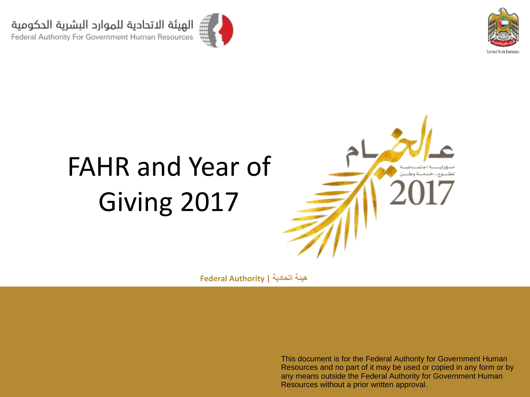



# FAHR and Year of Giving 2017



**هيئة اتحادية | Authority Federal**

This document is for the Federal Authority for Government Human Resources and no part of it may be used or copied in any form or by any means outside the Federal Authority for Government Human Resources without a prior written approval.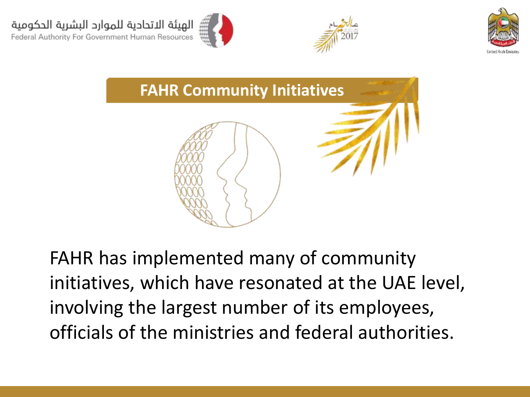





FAHR has implemented many of community initiatives, which have resonated at the UAE level, involving the largest number of its employees, officials of the ministries and federal authorities.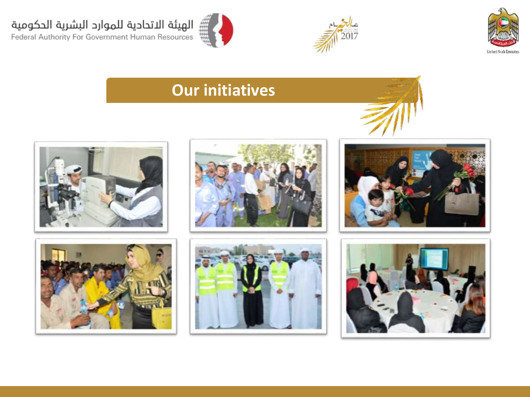





### **Our initiatives**













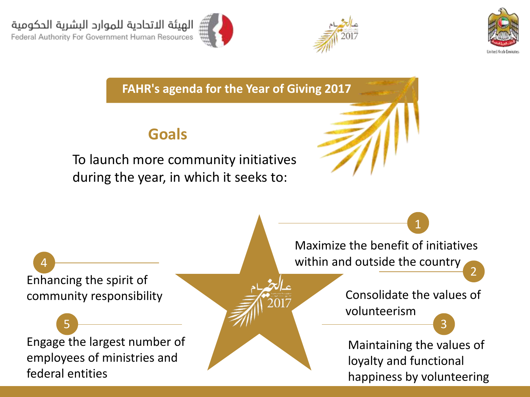





**FAHR's agenda for the Year of Giving 2017**

#### **Goals**

To launch more community initiatives during the year, in which it seeks to:

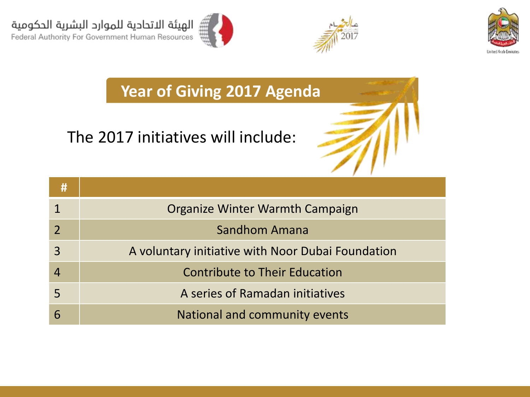





**Year of Giving 2017 Agenda**

### The 2017 initiatives will include:

| #                        |                                                   |
|--------------------------|---------------------------------------------------|
|                          | Organize Winter Warmth Campaign                   |
| $\overline{\phantom{a}}$ | Sandhom Amana                                     |
| $\overline{3}$           | A voluntary initiative with Noor Dubai Foundation |
|                          | <b>Contribute to Their Education</b>              |
| 5                        | A series of Ramadan initiatives                   |
| 6                        | National and community events                     |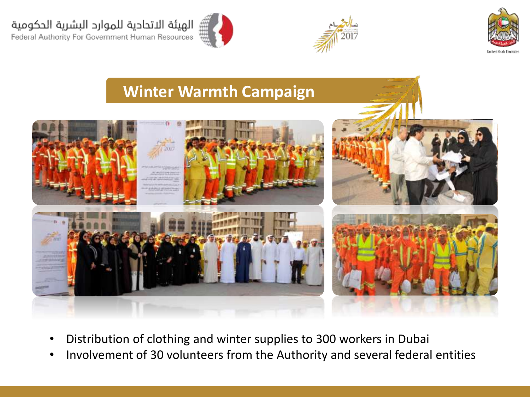الهيئة الاتحادية للموارد البشرية الحكومية

Federal Authority For Government Human Resources





# **Winter Warmth Campaign**

- Distribution of clothing and winter supplies to 300 workers in Dubai
- Involvement of 30 volunteers from the Authority and several federal entities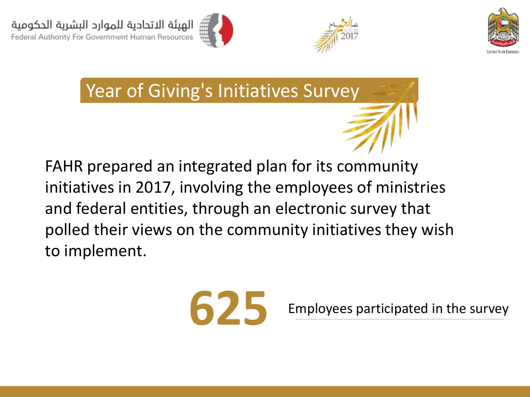





Year of Giving's Initiatives Survey

FAHR prepared an integrated plan for its community initiatives in 2017, involving the employees of ministries and federal entities, through an electronic survey that polled their views on the community initiatives they wish to implement.



Employees participated in the survey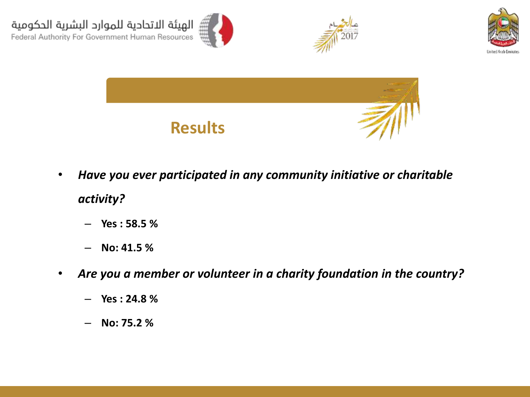







- *Have you ever participated in any community initiative or charitable activity?*
	- **Yes : 58.5 %**
	- **No: 41.5 %**
- *Are you a member or volunteer in a charity foundation in the country?*
	- **Yes : 24.8 %**
	- **No: 75.2 %**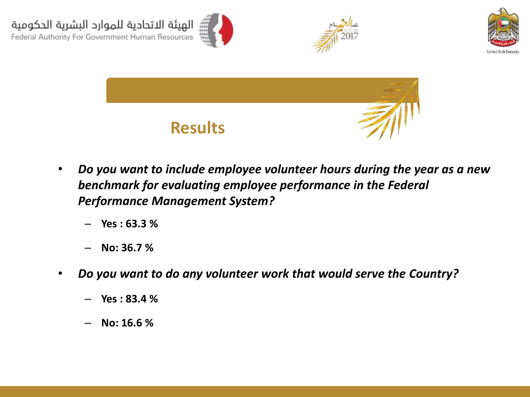







- *Do you want to include employee volunteer hours during the year as a new benchmark for evaluating employee performance in the Federal Performance Management System?*
	- **Yes : 63.3 %**
	- **No: 36.7 %**
- *Do you want to do any volunteer work that would serve the Country?*
	- **Yes : 83.4 %**
	- **No: 16.6 %**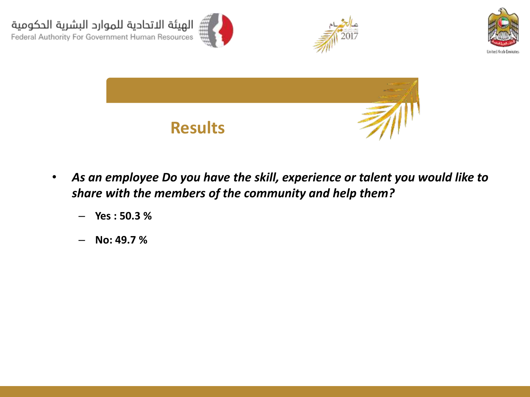

- *As an employee Do you have the skill, experience or talent you would like to share with the members of the community and help them?*
	- **Yes : 50.3 %**
	- **No: 49.7 %**